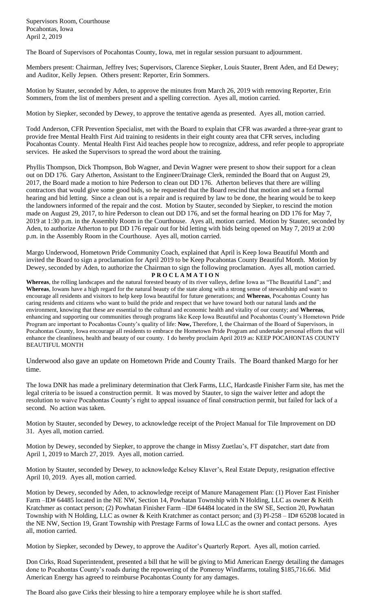Supervisors Room, Courthouse Pocahontas, Iowa April 2, 2019

The Board of Supervisors of Pocahontas County, Iowa, met in regular session pursuant to adjournment.

Members present: Chairman, Jeffrey Ives; Supervisors, Clarence Siepker, Louis Stauter, Brent Aden, and Ed Dewey; and Auditor, Kelly Jepsen. Others present: Reporter, Erin Sommers.

Motion by Stauter, seconded by Aden, to approve the minutes from March 26, 2019 with removing Reporter, Erin Sommers, from the list of members present and a spelling correction. Ayes all, motion carried.

Motion by Siepker, seconded by Dewey, to approve the tentative agenda as presented. Ayes all, motion carried.

Todd Anderson, CFR Prevention Specialist, met with the Board to explain that CFR was awarded a three-year grant to provide free Mental Health First Aid training to residents in their eight county area that CFR serves, including Pocahontas County. Mental Health First Aid teaches people how to recognize, address, and refer people to appropriate services. He asked the Supervisors to spread the word about the training.

Phyllis Thompson, Dick Thompson, Bob Wagner, and Devin Wagner were present to show their support for a clean out on DD 176. Gary Atherton, Assistant to the Engineer/Drainage Clerk, reminded the Board that on August 29, 2017, the Board made a motion to hire Pederson to clean out DD 176. Atherton believes that there are willing contractors that would give some good bids, so he requested that the Board rescind that motion and set a formal hearing and bid letting. Since a clean out is a repair and is required by law to be done, the hearing would be to keep the landowners informed of the repair and the cost. Motion by Stauter, seconded by Siepker, to rescind the motion made on August 29, 2017, to hire Pederson to clean out DD 176, and set the formal hearing on DD 176 for May 7, 2019 at 1:30 p.m. in the Assembly Room in the Courthouse. Ayes all, motion carried. Motion by Stauter, seconded by Aden, to authorize Atherton to put DD 176 repair out for bid letting with bids being opened on May 7, 2019 at 2:00 p.m. in the Assembly Room in the Courthouse. Ayes all, motion carried.

Margo Underwood, Hometown Pride Community Coach, explained that April is Keep Iowa Beautiful Month and invited the Board to sign a proclamation for April 2019 to be Keep Pocahontas County Beautiful Month. Motion by Dewey, seconded by Aden, to authorize the Chairman to sign the following proclamation. Ayes all, motion carried. **P R O C L A M A T I O N**

**Whereas**, the rolling landscapes and the natural forested beauty of its river valleys, define Iowa as "The Beautiful Land"; and **Whereas**, Iowans have a high regard for the natural beauty of the state along with a strong sense of stewardship and want to encourage all residents and visitors to help keep Iowa beautiful for future generations; and **Whereas**, Pocahontas County has caring residents and citizens who want to build the pride and respect that we have toward both our natural lands and the environment, knowing that these are essential to the cultural and economic health and vitality of our county; and **Whereas**, enhancing and supporting our communities through programs like Keep Iowa Beautiful and Pocahontas County's Hometown Pride Program are important to Pocahontas County's quality of life: **Now,** Therefore, I, the Chairman of the Board of Supervisors, in Pocahontas County, Iowa encourage all residents to embrace the Hometown Pride Program and undertake personal efforts that will enhance the cleanliness, health and beauty of our county. I do hereby proclaim April 2019 as: KEEP POCAHONTAS COUNTY BEAUTIFUL MONTH

Underwood also gave an update on Hometown Pride and County Trails. The Board thanked Margo for her time.

The Iowa DNR has made a preliminary determination that Clerk Farms, LLC, Hardcastle Finisher Farm site, has met the legal criteria to be issued a construction permit. It was moved by Stauter, to sign the waiver letter and adopt the resolution to waive Pocahontas County's right to appeal issuance of final construction permit, but failed for lack of a second. No action was taken.

Motion by Stauter, seconded by Dewey, to acknowledge receipt of the Project Manual for Tile Improvement on DD 31. Ayes all, motion carried.

Motion by Dewey, seconded by Siepker, to approve the change in Missy Zuetlau's, FT dispatcher, start date from April 1, 2019 to March 27, 2019. Ayes all, motion carried.

Motion by Stauter, seconded by Dewey, to acknowledge Kelsey Klaver's, Real Estate Deputy, resignation effective April 10, 2019. Ayes all, motion carried.

Motion by Dewey, seconded by Aden, to acknowledge receipt of Manure Management Plan: (1) Plover East Finisher Farm –ID# 64485 located in the NE NW, Section 14, Powhatan Township with N Holding, LLC as owner & Keith Kratchmer as contact person; (2) Powhatan Finisher Farm –ID# 64484 located in the SW SE, Section 20, Powhatan Township with N Holding, LLC as owner & Keith Kratchmer as contact person; and (3) PI-258 – ID# 65208 located in the NE NW, Section 19, Grant Township with Prestage Farms of Iowa LLC as the owner and contact persons. Ayes all, motion carried.

Motion by Siepker, seconded by Dewey, to approve the Auditor's Quarterly Report. Ayes all, motion carried.

Don Cirks, Road Superintendent, presented a bill that he will be giving to Mid American Energy detailing the damages done to Pocahontas County's roads during the repowering of the Pomeroy Windfarms, totaling \$185,716.66. Mid American Energy has agreed to reimburse Pocahontas County for any damages.

The Board also gave Cirks their blessing to hire a temporary employee while he is short staffed.